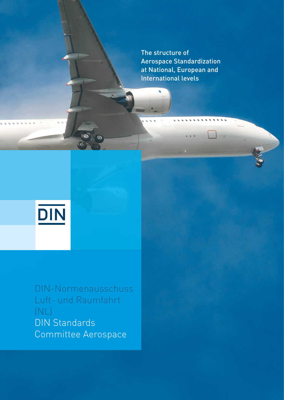The structure of Aerospace Standardization at National, European and International levels

 $\mathbb{R}^{\mathbb{Z}}$ 



DIN-Normenausschuss Luft- und Raumfahrt DIN-Normenausschuss (NL) DIN Standards and Raum Committee Aerospace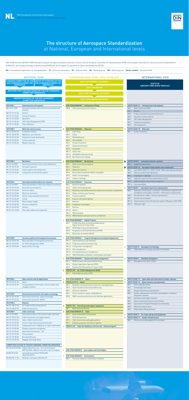

## The structure of Aerospace Standardization at National, European and International levels

ASD-STAN (formerly AECMA-STAN) develops European aerospace standards itself and in liaison with the European Committee for Standardization (CEN), the European Committee for electrotechnical Standardization (CENELEC), the European Aerospace Quality Group (EAQG) and the European Co-operation on Space Standardization (ECSS).

ISO = International Organization for Standardization TC = Technical Committee SC = Subcommittee AA = Working group WG = Working group Darker shaded = Secretariat DIN

| <b>SECTION 7</b> | <b>Environment protection and engine technology</b>        |
|------------------|------------------------------------------------------------|
| NA 131-07-01 AA  | Environment protection, engine technology                  |
| NA 131-07-02 AA  | <b>Environment protection, REACH</b>                       |
| <b>SECTION 8</b> | <b>Airports</b>                                            |
| NA 131-08-01 AA  | Air freight and ground equipment                           |
| NA 131-08-02 AA  | Airport infrastructure                                     |
| <b>SECTION 9</b> | <b>Cabin and Cargo</b>                                     |
| NA 131-09 FBR    | Steering Committee of the Section Cabin and Cargo          |
| NA 131-09-01 AA  | Cabin monuments and supply systems                         |
| NA 131-09-02 AA  | Seats, inflight entertainment                              |
| NA 131-09-03 AA  | Interior lining, floorcovering and hatracks                |
| NA 131-09-04 AA  | Supply systems (air conditioning, air, water, waste water) |
| NA 131-09-05 AA  | Displays, projection and lighting                          |
| NA 131-09-06 AA  | <b>Ideal Cabin Environment - ICE</b>                       |
| NA 131-09-07 AA  | <b>Test procedure</b>                                      |
| NA 131-09-08 AA  | <b>Boarding Efficiency</b>                                 |
| NA 131-09-09 AA  | <b>Baggage and Cargo Space</b>                             |
|                  |                                                            |

**Chemische Parameter**

**CEN/TC 436 Cabin Air Quality on civil aircraft - Chemical Agents** 

| <b>COMMITTEES OUTSIDE OF THE DIN STANDARDS COMMITTEE AEROSPACE</b> |                                                                                                                     |  |  |
|--------------------------------------------------------------------|---------------------------------------------------------------------------------------------------------------------|--|--|
|                                                                    | NA 145-04-02-02 GAK Additive Manufacturing - Joint working group<br>NWT/NL/NAS: Additive manufacturing in aerospace |  |  |
| NA 087-00-20 GA                                                    | Joint working committee FSF/NL/DKE:<br>Hyperloop systems                                                            |  |  |
| NA 092-00-17 AA                                                    | Welding in aerospace (DVS AG A 9)                                                                                   |  |  |
|                                                                    |                                                                                                                     |  |  |

- 
- 
- 
- 

| NATIONAL (DIN)                      |                                                                                                                             | EUROPEAN (ASD-STAN, CEN, CENELEC)                                                                                                            |  | <b>INTERNATIONAL (ISO)</b>                                                                                                                          |  |
|-------------------------------------|-----------------------------------------------------------------------------------------------------------------------------|----------------------------------------------------------------------------------------------------------------------------------------------|--|-----------------------------------------------------------------------------------------------------------------------------------------------------|--|
| <b>AEROSPACE</b>                    | STEERING COMMITTEE OF THE GROUP OF SPONSORS OF THE<br>DIN STANDARDS COMMITTEE   DIN STANDARDS COMMITTEE<br><b>AEROSPACE</b> | <b>ASD-STAN GENERAL ASSEMBLY</b><br><b>ASD-STAN BOARD</b>                                                                                    |  | <b>ISO/TC 20</b><br><b>AIRCRAFT AND SPACE VEHICLES</b>                                                                                              |  |
|                                     | ADVISORY AND STRATEGY GROUP OF THE DIN STANDARDS<br><b>COMMITTEE AEROSPACE</b>                                              | <b>ASD-STAN TECHNICAL AUTHORITY</b>                                                                                                          |  |                                                                                                                                                     |  |
|                                     | <b>INNOVATION GROUP OF THE DIN STANDARDS</b><br><b>COMMITTEE AEROSPACE</b>                                                  | <b>ASD-STAN INNOVATION GROUP</b>                                                                                                             |  |                                                                                                                                                     |  |
|                                     |                                                                                                                             |                                                                                                                                              |  |                                                                                                                                                     |  |
| <b>SECTION 1</b><br>NA 131-01 FBR   | <b>Unmanned aircraft systems</b><br>Steering Committee of the Section Unmanned Aircraft                                     | <b>ASD-STAN DOMAIN 5 Autonomous Flying</b><br><b>UAS Unmanned Aircraft Systems</b><br>WG8                                                    |  | ISO/TC 20/SC 16 Unmanned aircraft systems<br>Detect And Avoid (DAA)<br>AG <sub>5</sub>                                                              |  |
|                                     | <b>Systems</b>                                                                                                              |                                                                                                                                              |  | WG <sub>1</sub><br>General                                                                                                                          |  |
| NA 131-01-01 AA<br>NA 131-01-02 AA  | General<br><b>Technical Systems</b>                                                                                         |                                                                                                                                              |  | WG <sub>2</sub><br>Product manufacturing and maintenance                                                                                            |  |
| NA 131-01-03 AA                     | <b>Operations</b>                                                                                                           |                                                                                                                                              |  | WG <sub>3</sub><br>Operations and procedures<br>WG 4<br><b>UAS Traffic Management</b>                                                               |  |
| NA 131-01-04 AA                     | <b>UAS Traffic Management (UTM)</b>                                                                                         |                                                                                                                                              |  | <b>WG 5</b><br>Testing and evaluation                                                                                                               |  |
| NA 131-01-05 AA                     | <b>Drone-Detection</b>                                                                                                      |                                                                                                                                              |  | <b>UAS subsystems</b><br>WG 6                                                                                                                       |  |
| <b>SECTION 2</b>                    | <b>Materials and processes</b>                                                                                              | <b>ASD-STAN DOMAIN 4 Materials</b>                                                                                                           |  | ISO/TC 20/SC 18 Materials                                                                                                                           |  |
| NA 131-02-01 AA<br>NA 131-02-02 AA  | Composite material                                                                                                          | Light alloys<br>WG 1<br><b>Steels</b>                                                                                                        |  | Surface treatment<br>WG 1                                                                                                                           |  |
| NA 131-02-03 AA                     | Adhesives, core materials<br>Elastomeric bond, density bulk                                                                 | WG <sub>3</sub><br>Welding/brazing<br><b>WG4</b>                                                                                             |  |                                                                                                                                                     |  |
| NA 131-02-04 AA                     | Surface protection                                                                                                          | <b>WG 5</b><br>Test methods                                                                                                                  |  |                                                                                                                                                     |  |
| NA 131-02-05 AA                     | Metallic materials                                                                                                          | WG 6<br>Surface treatments                                                                                                                   |  |                                                                                                                                                     |  |
|                                     |                                                                                                                             | WG 7<br>Elastomers/sealants<br>WG8<br>Composite                                                                                              |  |                                                                                                                                                     |  |
|                                     |                                                                                                                             | WG 11 Super alloy                                                                                                                            |  |                                                                                                                                                     |  |
|                                     |                                                                                                                             | WG 14 AM (Additive Manufacturing)                                                                                                            |  |                                                                                                                                                     |  |
|                                     |                                                                                                                             | WG 15 Non Destructive Testings                                                                                                               |  |                                                                                                                                                     |  |
| <b>SECTION 3</b>                    | <b>Mechanics</b>                                                                                                            | <b>ASD-STAN DOMAIN 3 Mechanical</b>                                                                                                          |  | ISO/TC 20/SC 4 Aerospace fastener systems                                                                                                           |  |
| NA 131-03 FBR<br>NA 131-03-01 AA    | <b>Steering Committee of the Section Mechanics</b><br>Aerospace fasteners                                                   | Parts of mechanical systems<br>WG 1<br>WG <sub>2</sub><br><b>Fasteners</b>                                                                   |  | <b>Supporting documents</b><br>WG <sub>3</sub><br>ISO/TC 20/SC 10 Aerospace fluid systems and components                                            |  |
| NA 131-03-02 AA                     | Fluidic systems and components                                                                                              | WG <sub>3</sub><br>Hydraulics systems                                                                                                        |  | Joint ISO/TC 20/SC 10 - ISO/TC 131/SC 7 WG: Seals and seal retainers<br>WG <sub>1</sub>                                                             |  |
| NA 131-03-03 AA                     | Components of mechanical systems                                                                                            | WG 4<br>New product standards, REACH compatible                                                                                              |  | Tubing and tube retaining devices<br>WG <sub>3</sub>                                                                                                |  |
|                                     |                                                                                                                             | WG <sub>5</sub><br>Plastic-free packaging<br>WG 6<br><b>Fastener Coatings</b>                                                                |  | WG 6<br>Couplings for rigid pipe<br>Hydraulic fluids and fluid contamination control<br>WG8                                                         |  |
| <b>SECTION 4</b>                    | <b>Steering Committee Electrical, Avionics</b>                                                                              | <b>ASD-STAN DOMAIN 2 Electrical</b>                                                                                                          |  | WG 9<br>Hydraulic power and actuation equipment                                                                                                     |  |
| NA 131-04 FBR                       | Steering Committee of the Section Electrical, Avionics                                                                      | WG 1<br>Electrical network                                                                                                                   |  | WG 14 Hose assemblies                                                                                                                               |  |
| NA 131-04-01 AA                     | Electrical aircraft systems                                                                                                 | WG <sub>2</sub><br>Cables and stripping tools                                                                                                |  | ISO/TC 20/SC 1 Aerospace electrical requirements                                                                                                    |  |
| NA 131-04-02 AA<br>NA 131-04-03 AA  | Electrical cables<br><b>Electrical connectors</b>                                                                           | WG <sub>3</sub><br>Elements of connection (connectors, contacts, rear accessories, crimping tools)<br>WG 4<br>Relays, switches, push-buttons |  | Solid state remote power controllers - Performance requirements<br>WG <sub>3</sub><br>and Hybrid remote power controller - Performance requirements |  |
| NA 131-04-05 AA                     | Switch, relays and protection devices                                                                                       | WG <sub>5</sub><br><b>Protection devices</b>                                                                                                 |  | Aircraft electric cables - General requirements<br>WG <sub>5</sub>                                                                                  |  |
| NA 131-04-06 AA                     | Lamps                                                                                                                       | WG 6<br><b>Exterior and cockpit lighting</b>                                                                                                 |  | Aircraft circuit breakers<br>WG 9                                                                                                                   |  |
| NA 131-04-07 AA                     | Electric power supply                                                                                                       | WG 7<br><b>Batteries</b>                                                                                                                     |  | WG 13 Characteristics of aircraft electrical systems (Revision of ISO 1540)<br>WG 15 LED power light                                                |  |
| NA 131-04-08 AA<br>NA 131-04-09 AA  | Harness components<br>Avionics                                                                                              | WG8<br>Installation technologies<br>WG 9<br>Data bus                                                                                         |  |                                                                                                                                                     |  |
| NA 131-04-10 AA                     | Fibre optic cables and components                                                                                           | WG 10 Optical                                                                                                                                |  |                                                                                                                                                     |  |
|                                     |                                                                                                                             | WG 11 IMA packaging                                                                                                                          |  |                                                                                                                                                     |  |
|                                     |                                                                                                                             | WG 12 MOAA Modular and open avionics architecture                                                                                            |  |                                                                                                                                                     |  |
|                                     |                                                                                                                             | <b>ASD-STAN DOMAIN 7 Digital Projects</b>                                                                                                    |  |                                                                                                                                                     |  |
|                                     |                                                                                                                             | LOTAR LOng Term Archiving and Retrieval of<br>WG 1<br><b>Digital Technical Product Data</b>                                                  |  |                                                                                                                                                     |  |
|                                     |                                                                                                                             | WG <sub>2</sub><br><b>RFID Radio Frequency Identification</b>                                                                                |  |                                                                                                                                                     |  |
|                                     |                                                                                                                             | WG <sub>3</sub><br>Prognostics and Health Monitoring (PHM)<br>WG 4<br><b>Blockchain for Aviation (BC4A)</b>                                  |  |                                                                                                                                                     |  |
|                                     |                                                                                                                             |                                                                                                                                              |  |                                                                                                                                                     |  |
| <b>SECTION 5</b><br>NA 131-05-01 AA | Security, quality and management processes<br>Basic principles of management processes                                      | <b>ASD-STAN DOMAIN 1 Program Management and System Engineering</b><br>WG 11 System definition and realization                                |  |                                                                                                                                                     |  |
| NA 131-05-02 AA                     | Air Traffic Management (ATM)                                                                                                | WG 12 Programme phasing and planning                                                                                                         |  |                                                                                                                                                     |  |
| NA 131-05-03 AA                     | <b>Basics and terminology</b>                                                                                               | WG 13 Configuration management                                                                                                               |  | ISO/TC 20/SC 8 Aerospace terminology                                                                                                                |  |
|                                     |                                                                                                                             | WG 14 Risk management<br>WG 15 ILS and obsolescence management                                                                               |  | Flight dynamics concepts, quantities and symbols<br>WG 2                                                                                            |  |
|                                     |                                                                                                                             | WG 16 RAMS (Reliability, availability, maintainability and safety)                                                                           |  |                                                                                                                                                     |  |
|                                     |                                                                                                                             | ASD-STAN DOMAIN 6 Quality and safety management                                                                                              |  | ISO/TC 20/SC 6 Standard atmosphere                                                                                                                  |  |
|                                     |                                                                                                                             | <b>EAQG European Aerospace Quality Group</b><br>WG 1                                                                                         |  | Atmosphere from 30 to 120 km<br>WG 1                                                                                                                |  |
|                                     |                                                                                                                             | WG 4<br><b>Design Organization Approval (DOA)</b><br>Relation EN 9100 and Part 21 (step 1 DOA)<br>WG <sub>5</sub>                            |  |                                                                                                                                                     |  |
|                                     |                                                                                                                             | <b>CEN/TC 377 Air Traffic Management (ATM)</b>                                                                                               |  |                                                                                                                                                     |  |
|                                     |                                                                                                                             | WG <sub>1</sub><br><b>Ilnformation security in ATM</b>                                                                                       |  |                                                                                                                                                     |  |
|                                     |                                                                                                                             |                                                                                                                                              |  |                                                                                                                                                     |  |
| <b>SECTION 6</b><br>NA 131-06-01 AA | <b>Space and terrestrial applications</b><br>Space                                                                          | <b>ASD-STAN DOMAIN 10 Space</b><br><b>CEN/CLC/JTC 5 Space</b>                                                                                |  | ISO/TC 20/SC 13 Space data and information transfer systems<br>ISO/TC 20/SC 14 Space systems and operations                                         |  |
| NA 131-06-02 AA                     | Interoperability of information, communication and                                                                          | Navigation and positioning receivers for road applications<br>WG 1                                                                           |  | Chair's Advisory Group<br>AG <sub>1</sub>                                                                                                           |  |
|                                     | navigation systems                                                                                                          | WG <sub>2</sub><br><b>Space Situational Awareness Monitoring</b>                                                                             |  | <b>Terminology Task Force</b><br>AG <sub>2</sub>                                                                                                    |  |
|                                     |                                                                                                                             | WG 6<br>Upstream standards<br>WG 7<br>Future activities in space standardization                                                             |  | WG 1<br>Design engineering and production<br>System requirements, verification and validation, interfaces,<br>WG <sub>2</sub>                       |  |
| <b>SECTION 7</b><br>NA 131-07-01 AA | <b>Environment protection and engine technology</b><br>Environment protection, engine technology                            | WG8<br>SBAS receivers performances for Maritime applications                                                                                 |  | integration, and test                                                                                                                               |  |
| NA 131-07-02 AA                     | Environment protection, REACH                                                                                               |                                                                                                                                              |  | WG <sub>3</sub><br>Operations and support systems                                                                                                   |  |
| <b>SECTION 8</b>                    | <b>Airports</b>                                                                                                             |                                                                                                                                              |  | WG 4<br>Space environment (natural and artificial)<br>WG <sub>5</sub><br>Space System Program Management and Quality                                |  |
| NA 131-08-01 AA                     | Air freight and ground equipment                                                                                            | CEN/TC 274 Aircraft ground support equipment                                                                                                 |  | WG 6<br>Materials and processes                                                                                                                     |  |
| NA 131-08-02 AA<br><b>SECTION 9</b> | Airport infrastructure<br><b>Cabin and Cargo</b>                                                                            | <b>Working Group Revision</b><br>WG 1<br><b>ASD-STAN DOMAIN 12 Cabin</b>                                                                     |  | WG 7<br><b>Orbital Debris Working Group</b>                                                                                                         |  |
| NA 131-09 FBR                       | Steering Committee of the Section Cabin and Cargo                                                                           | <b>Seats and Inflight Entertainment</b><br>WG 1                                                                                              |  | ISO/TC 20/SC 9 Air cargo and ground equipment                                                                                                       |  |

| NA 131-04-07 AA | Electric power supply             |
|-----------------|-----------------------------------|
| NA 131-04-08 AA | Harness components                |
| NA 131-04-09 AA | Avionics                          |
| NA 131-04-10 AA | Fibre optic cables and components |
|                 |                                   |

| <b>SECTION 5</b> | Security, quality and management processes |
|------------------|--------------------------------------------|
| NA 131-05-01 AA  | Basic principles of management processes   |
| NA 131-05-02 AA  | Air Traffic Management (ATM)               |
| NA 131-05-03 AA  | <b>Basics and terminology</b>              |

| <b>SECTION 6</b> | <b>Space and terrestrial applications</b>                                |
|------------------|--------------------------------------------------------------------------|
| NA 131-06-01 AA  | Space                                                                    |
| NA 131-06-02 AA  | Interoperability of information, communication and<br>navigation systems |

| <b>CEN/TC 274</b>                  | Aircraft ground support equipment          |
|------------------------------------|--------------------------------------------|
| WG <sub>1</sub>                    | <b>Working Group Revision</b>              |
| <b>ASD-STAN DOMAIN 12</b><br>Cabin |                                            |
| WG <sub>1</sub>                    | <b>Seats and Inflight Entertainment</b>    |
| WG <sub>2</sub>                    | <b>Ditching Equipment</b>                  |
| WG <sub>3</sub>                    | Cabin monuments and supply systems         |
| WG 4                               | Displays, projection and interior lighting |

**ASD-STAN DOMAIN 8 Luftfahrzeugantriebe und -technologien Aero engines and technologies**

**ASD-STAN DOMAIN 9 Environment** 

WG 1 Chemical substances declaration standards

**ISO/TC 20/SC 17 Airport infrastructure**

WG 1 Infrastructure and equipment for vertiports